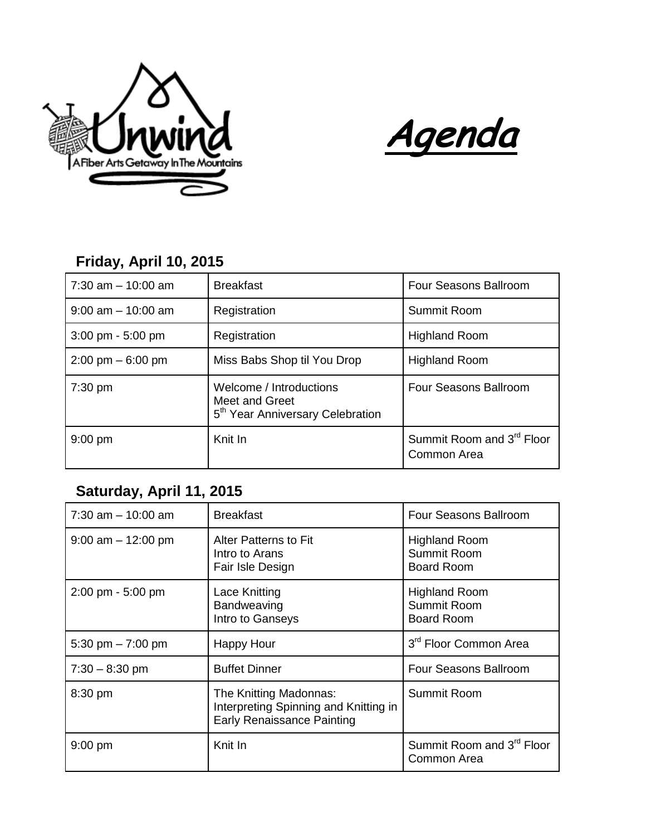

**Agenda**

**Friday, April 10, 2015**

| $7:30$ am $-10:00$ am               | <b>Breakfast</b>                                                                          | <b>Four Seasons Ballroom</b>                         |
|-------------------------------------|-------------------------------------------------------------------------------------------|------------------------------------------------------|
| $9:00$ am $-10:00$ am               | Registration                                                                              | Summit Room                                          |
| $3:00 \text{ pm} - 5:00 \text{ pm}$ | Registration                                                                              | <b>Highland Room</b>                                 |
| $2:00 \text{ pm} - 6:00 \text{ pm}$ | Miss Babs Shop til You Drop                                                               | <b>Highland Room</b>                                 |
| $7:30$ pm                           | Welcome / Introductions<br>Meet and Greet<br>5 <sup>th</sup> Year Anniversary Celebration | Four Seasons Ballroom                                |
| $9:00$ pm                           | Knit In                                                                                   | Summit Room and 3 <sup>rd</sup> Floor<br>Common Area |

## **Saturday, April 11, 2015**

| $7:30$ am $-10:00$ am               | <b>Breakfast</b>                                                                                     | Four Seasons Ballroom                                    |
|-------------------------------------|------------------------------------------------------------------------------------------------------|----------------------------------------------------------|
| $9:00$ am $-12:00$ pm               | <b>Alter Patterns to Fit</b><br>Intro to Arans<br>Fair Isle Design                                   | <b>Highland Room</b><br>Summit Room<br><b>Board Room</b> |
| $2:00 \text{ pm} - 5:00 \text{ pm}$ | Lace Knitting<br>Bandweaving<br>Intro to Ganseys                                                     | <b>Highland Room</b><br>Summit Room<br><b>Board Room</b> |
| 5:30 pm $- 7:00$ pm                 | <b>Happy Hour</b>                                                                                    | 3 <sup>rd</sup> Floor Common Area                        |
| $7:30 - 8:30$ pm                    | <b>Buffet Dinner</b>                                                                                 | Four Seasons Ballroom                                    |
| 8:30 pm                             | The Knitting Madonnas:<br>Interpreting Spinning and Knitting in<br><b>Early Renaissance Painting</b> | Summit Room                                              |
| 9:00 pm                             | Knit In                                                                                              | Summit Room and 3 <sup>rd</sup> Floor<br>Common Area     |